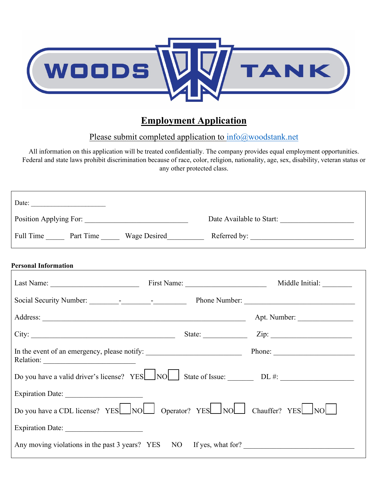

# **Employment Application**

# Please submit completed application to [info@woodstank.net](mailto:info@woodstank.net)

All information on this application will be treated confidentially. The company provides equal employment opportunities. Federal and state laws prohibit discrimination because of race, color, religion, nationality, age, sex, disability, veteran status or any other protected class.

| Date: $\frac{1}{\sqrt{1-\frac{1}{2}} \cdot \frac{1}{2}}$                                                                                                                                                                      |  |                          |  |  |  |
|-------------------------------------------------------------------------------------------------------------------------------------------------------------------------------------------------------------------------------|--|--------------------------|--|--|--|
|                                                                                                                                                                                                                               |  | Date Available to Start: |  |  |  |
| Full Time Part Time Wage Desired Referred by:                                                                                                                                                                                 |  |                          |  |  |  |
| <b>Personal Information</b>                                                                                                                                                                                                   |  |                          |  |  |  |
|                                                                                                                                                                                                                               |  |                          |  |  |  |
|                                                                                                                                                                                                                               |  |                          |  |  |  |
|                                                                                                                                                                                                                               |  |                          |  |  |  |
| City: City: City: City: City: City: City: City: City: City: City: City: City: City: City: City: City: City: City: City: City: City: City: City: City: City: City: City: City: City: City: City: City: City: City: City: City: |  |                          |  |  |  |
|                                                                                                                                                                                                                               |  |                          |  |  |  |
| Do you have a valid driver's license? YES $\Box$ NO $\Box$ State of Issue: $\Box$ DL #:                                                                                                                                       |  |                          |  |  |  |
|                                                                                                                                                                                                                               |  |                          |  |  |  |
| Do you have a CDL license? YES NO Operator? YES NO Chauffer? YES NO                                                                                                                                                           |  |                          |  |  |  |
|                                                                                                                                                                                                                               |  |                          |  |  |  |
| Any moving violations in the past 3 years? YES NO If yes, what for?                                                                                                                                                           |  |                          |  |  |  |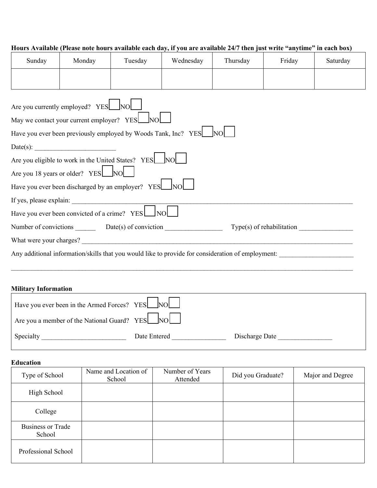# **Hours Available (Please note hours available each day, if you are available 24/7 then just write "anytime" in each box)**

| Sunday                                                                                            | Monday | Tuesday                                                           | Wednesday | Thursday | Friday | Saturday |
|---------------------------------------------------------------------------------------------------|--------|-------------------------------------------------------------------|-----------|----------|--------|----------|
|                                                                                                   |        |                                                                   |           |          |        |          |
| Are you currently employed? YES NO<br>May we contact your current employer? YES NO                |        |                                                                   |           |          |        |          |
|                                                                                                   |        | Have you ever been previously employed by Woods Tank, Inc? YES NO |           |          |        |          |
|                                                                                                   |        |                                                                   |           |          |        |          |
|                                                                                                   |        | Are you eligible to work in the United States? YES NO             |           |          |        |          |
| Are you 18 years or older? YES NO                                                                 |        |                                                                   |           |          |        |          |
| Have you ever been discharged by an employer? YES NO                                              |        |                                                                   |           |          |        |          |
|                                                                                                   |        |                                                                   |           |          |        |          |
| Have you ever been convicted of a crime? YES NO                                                   |        |                                                                   |           |          |        |          |
| Number of convictions Date(s) of conviction<br>$Type(s)$ of rehabilitation                        |        |                                                                   |           |          |        |          |
|                                                                                                   |        |                                                                   |           |          |        |          |
| Any additional information/skills that you would like to provide for consideration of employment: |        |                                                                   |           |          |        |          |

# **Military Information**

| Have you ever been in the Armed Forces? YES NO |              |                |
|------------------------------------------------|--------------|----------------|
| Are you a member of the National Guard? YES NO |              |                |
| Specialty                                      | Date Entered | Discharge Date |

#### **Education**

| Type of School                     | Name and Location of<br>School | Number of Years<br>Attended | Did you Graduate? | Major and Degree |
|------------------------------------|--------------------------------|-----------------------------|-------------------|------------------|
| High School                        |                                |                             |                   |                  |
| College                            |                                |                             |                   |                  |
| <b>Business or Trade</b><br>School |                                |                             |                   |                  |
| Professional School                |                                |                             |                   |                  |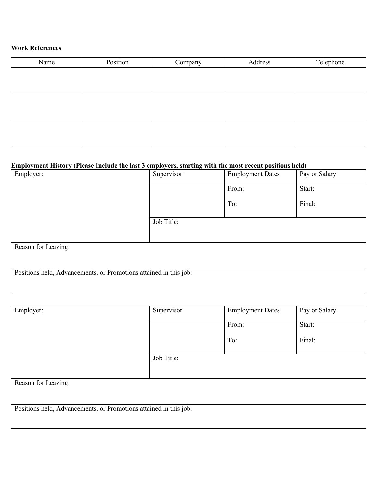#### **Work References**

| Name | Position | Company | Address | Telephone |
|------|----------|---------|---------|-----------|
|      |          |         |         |           |
|      |          |         |         |           |
|      |          |         |         |           |
|      |          |         |         |           |
|      |          |         |         |           |
|      |          |         |         |           |
|      |          |         |         |           |
|      |          |         |         |           |

# **Employment History (Please Include the last 3 employers, starting with the most recent positions held)**

| Employer:                                                         | Supervisor | <b>Employment Dates</b> | Pay or Salary |  |
|-------------------------------------------------------------------|------------|-------------------------|---------------|--|
|                                                                   |            | From:                   | Start:        |  |
|                                                                   |            | To:                     | Final:        |  |
|                                                                   | Job Title: |                         |               |  |
| Reason for Leaving:                                               |            |                         |               |  |
| Positions held, Advancements, or Promotions attained in this job: |            |                         |               |  |

| Employer:                                                         | Supervisor | <b>Employment Dates</b> | Pay or Salary |  |
|-------------------------------------------------------------------|------------|-------------------------|---------------|--|
|                                                                   |            | From:                   | Start:        |  |
|                                                                   |            | To:                     | Final:        |  |
|                                                                   | Job Title: |                         |               |  |
|                                                                   |            |                         |               |  |
| Reason for Leaving:                                               |            |                         |               |  |
|                                                                   |            |                         |               |  |
| Positions held, Advancements, or Promotions attained in this job: |            |                         |               |  |
|                                                                   |            |                         |               |  |